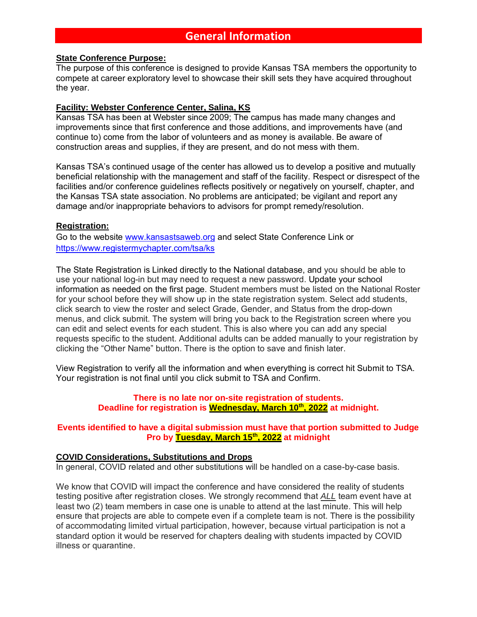#### **State Conference Purpose:**

The purpose of this conference is designed to provide Kansas TSA members the opportunity to compete at career exploratory level to showcase their skill sets they have acquired throughout the year.

### **Facility: Webster Conference Center, Salina, KS**

Kansas TSA has been at Webster since 2009; The campus has made many changes and improvements since that first conference and those additions, and improvements have (and continue to) come from the labor of volunteers and as money is available. Be aware of construction areas and supplies, if they are present, and do not mess with them.

Kansas TSA's continued usage of the center has allowed us to develop a positive and mutually beneficial relationship with the management and staff of the facility. Respect or disrespect of the facilities and/or conference guidelines reflects positively or negatively on yourself, chapter, and the Kansas TSA state association. No problems are anticipated; be vigilant and report any damage and/or inappropriate behaviors to advisors for prompt remedy/resolution.

#### **Registration:**

Go to the website [www.kansastsaweb.org](http://www.kansastsaweb.org/) and select State Conference Link or <https://www.registermychapter.com/tsa/ks>

The State Registration is Linked directly to the National database, and you should be able to use your national log-in but may need to request a new password. Update your school information as needed on the first page. Student members must be listed on the National Roster for your school before they will show up in the state registration system. Select add students, click search to view the roster and select Grade, Gender, and Status from the drop-down menus, and click submit. The system will bring you back to the Registration screen where you can edit and select events for each student. This is also where you can add any special requests specific to the student. Additional adults can be added manually to your registration by clicking the "Other Name" button. There is the option to save and finish later.

View Registration to verify all the information and when everything is correct hit Submit to TSA. Your registration is not final until you click submit to TSA and Confirm.

#### **There is no late nor on-site registration of students. Deadline for registration is Wednesday, March 10th, 2022 at midnight.**

#### **Events identified to have a digital submission must have that portion submitted to Judge Pro by Tuesday, March 15th, 2022 at midnight**

#### **COVID Considerations, Substitutions and Drops**

In general, COVID related and other substitutions will be handled on a case-by-case basis.

We know that COVID will impact the conference and have considered the reality of students testing positive after registration closes. We strongly recommend that *ALL* team event have at least two (2) team members in case one is unable to attend at the last minute. This will help ensure that projects are able to compete even if a complete team is not. There is the possibility of accommodating limited virtual participation, however, because virtual participation is not a standard option it would be reserved for chapters dealing with students impacted by COVID illness or quarantine.